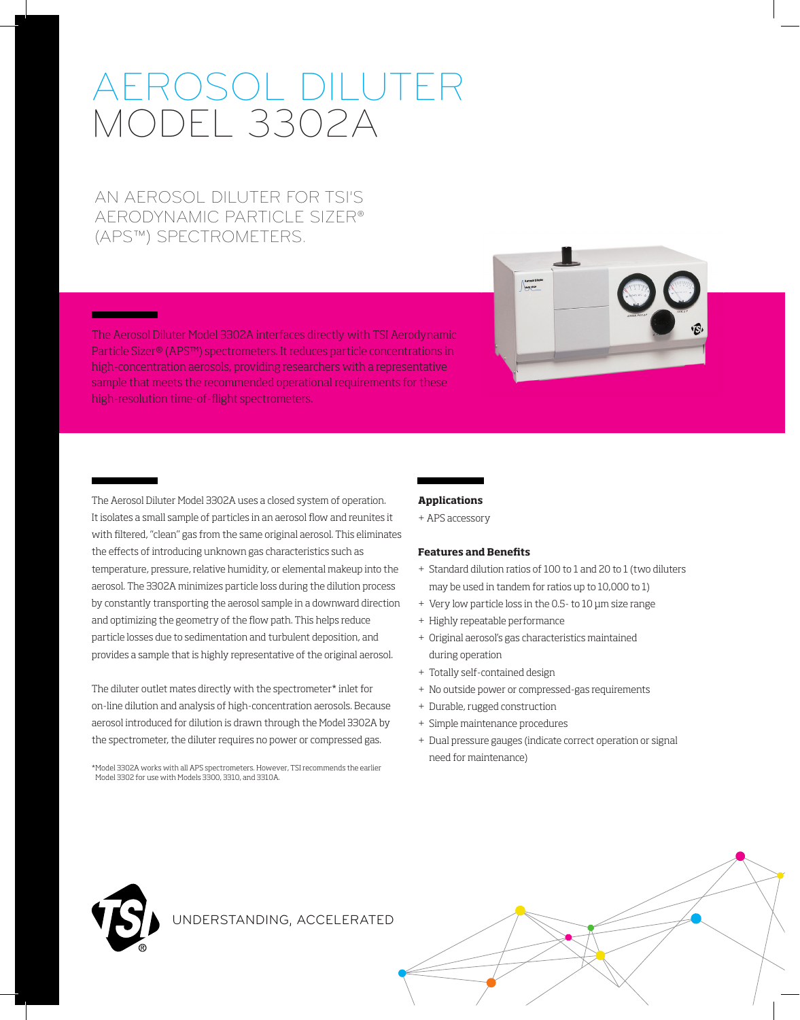# AEROSOL DILUTER MODEL 3302A

AN AEROSOL DILUTER FOR TSI'S AERODYNAMIC PARTICLE SIZER® (APS™) SPECTROMETERS.

The Aerosol Diluter Model 3302A interfaces directly with TSI Aerodynamic Particle Sizer® (APS™) spectrometers. It reduces particle concentrations in high-concentration aerosols, providing researchers with a representative sample that meets the recommended operational requirements for these high-resolution time-of-flight spectrometers.



The Aerosol Diluter Model 3302A uses a closed system of operation. It isolates a small sample of particles in an aerosol flow and reunites it with filtered, "clean" gas from the same original aerosol. This eliminates the effects of introducing unknown gas characteristics such as temperature, pressure, relative humidity, or elemental makeup into the aerosol. The 3302A minimizes particle loss during the dilution process by constantly transporting the aerosol sample in a downward direction and optimizing the geometry of the flow path. This helps reduce particle losses due to sedimentation and turbulent deposition, and provides a sample that is highly representative of the original aerosol.

The diluter outlet mates directly with the spectrometer\* inlet for on-line dilution and analysis of high-concentration aerosols. Because aerosol introduced for dilution is drawn through the Model 3302A by the spectrometer, the diluter requires no power or compressed gas.

\* Model 3302A works with all APS spectrometers. However, TSI recommends the earlier Model 3302 for use with Models 3300, 3310, and 3310A.

# **Applications**

+ APS accessory

#### **Features and Benefits**

- + Standard dilution ratios of 100 to 1 and 20 to 1 (two diluters may be used in tandem for ratios up to 10,000 to 1)
- + Very low particle loss in the 0.5- to 10 μm size range
- + Highly repeatable performance
- + Original aerosol's gas characteristics maintained during operation
- + Totally self-contained design
- + No outside power or compressed-gas requirements
- + Durable, rugged construction
- + Simple maintenance procedures
- + Dual pressure gauges (indicate correct operation or signal need for maintenance)



<u> The Community of the Community of the Community of the Community of the Community of the Community of the Community of the Community of the Community of the Community of the Community of the Community of the Community of</u>

UNDERSTANDING, ACCELERATED